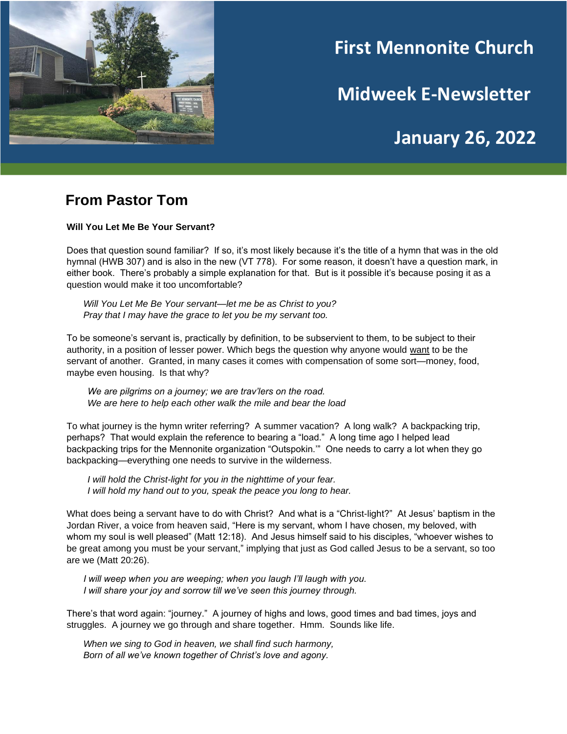

# **First Mennonite Church**

**Midweek E-Newsletter**

## **January 26, 2022**

#### **From Pastor Tom**

**Will You Let Me Be Your Servant?**

Does that question sound familiar? If so, it's most likely because it's the title of a hymn that was in the old hymnal (HWB 307) and is also in the new (VT 778). For some reason, it doesn't have a question mark, in either book. There's probably a simple explanation for that. But is it possible it's because posing it as a question would make it too uncomfortable?

*Will You Let Me Be Your servant—let me be as Christ to you? Pray that I may have the grace to let you be my servant too.*

To be someone's servant is, practically by definition, to be subservient to them, to be subject to their authority, in a position of lesser power. Which begs the question why anyone would want to be the servant of another. Granted, in many cases it comes with compensation of some sort—money, food, maybe even housing. Is that why?

*We are pilgrims on a journey; we are trav'lers on the road. We are here to help each other walk the mile and bear the load*

To what journey is the hymn writer referring? A summer vacation? A long walk? A backpacking trip, perhaps? That would explain the reference to bearing a "load." A long time ago I helped lead backpacking trips for the Mennonite organization "Outspokin.'" One needs to carry a lot when they go backpacking—everything one needs to survive in the wilderness.

*I will hold the Christ-light for you in the nighttime of your fear. I will hold my hand out to you, speak the peace you long to hear.*

What does being a servant have to do with Christ? And what is a "Christ-light?" At Jesus' baptism in the Jordan River, a voice from heaven said, "Here is my servant, whom I have chosen, my beloved, with whom my soul is well pleased" (Matt 12:18). And Jesus himself said to his disciples, "whoever wishes to be great among you must be your servant," implying that just as God called Jesus to be a servant, so too are we (Matt 20:26).

*I will weep when you are weeping; when you laugh I'll laugh with you. I will share your joy and sorrow till we've seen this journey through.*

There's that word again: "journey." A journey of highs and lows, good times and bad times, joys and struggles. A journey we go through and share together. Hmm. Sounds like life.

*When we sing to God in heaven, we shall find such harmony, Born of all we've known together of Christ's love and agony.*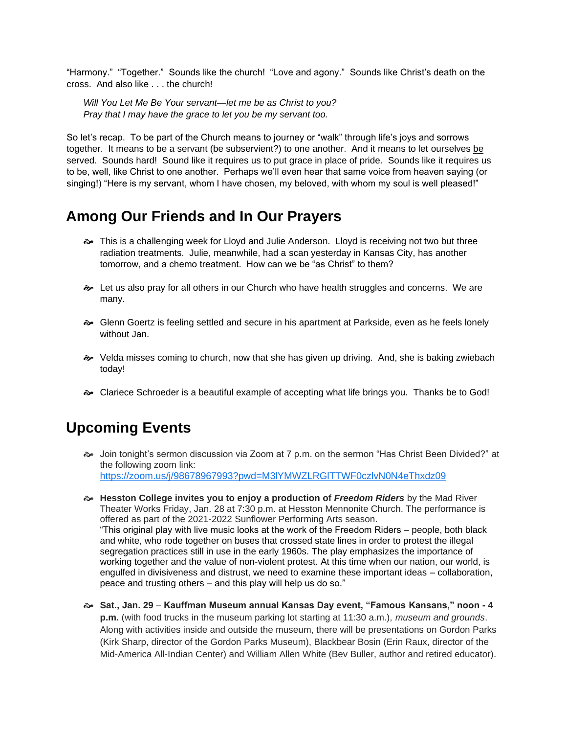"Harmony." "Together." Sounds like the church! "Love and agony." Sounds like Christ's death on the cross. And also like the church!

*Will You Let Me Be Your servant—let me be as Christ to you? Pray that I may have the grace to let you be my servant too.*

So let's recap. To be part of the Church means to journey or "walk" through life's joys and sorrows together. It means to be a servant (be subservient?) to one another. And it means to let ourselves be served. Sounds hard! Sound like it requires us to put grace in place of pride. Sounds like it requires us to be, well, like Christ to one another. Perhaps we'll even hear that same voice from heaven saying (or singing!) "Here is my servant, whom I have chosen, my beloved, with whom my soul is well pleased!"

### **Among Our Friends and In Our Prayers**

- **B** This is a challenging week for Lloyd and Julie Anderson. Lloyd is receiving not two but three radiation treatments. Julie, meanwhile, had a scan yesterday in Kansas City, has another tomorrow, and a chemo treatment. How can we be "as Christ" to them?
- **Example 1** Let us also pray for all others in our Church who have health struggles and concerns. We are many.
- Glenn Goertz is feeling settled and secure in his apartment at Parkside, even as he feels lonely without Jan.
- $\sim$  Velda misses coming to church, now that she has given up driving. And, she is baking zwiebach today!
- Clariece Schroeder is a beautiful example of accepting what life brings you. Thanks be to God!

### **Upcoming Events**

- Join tonight's sermon discussion via Zoom at 7 p.m. on the sermon "Has Christ Been Divided?" at the following zoom link: <https://zoom.us/j/98678967993?pwd=M3lYMWZLRGlTTWF0czlvN0N4eThxdz09>
- **Hesston College invites you to enjoy a production of** *Freedom Riders* by the Mad River Theater Works Friday, Jan. 28 at 7:30 p.m. at Hesston Mennonite Church. The performance is offered as part of the 2021-2022 Sunflower Performing Arts season. "This original play with live music looks at the work of the Freedom Riders – people, both black and white, who rode together on buses that crossed state lines in order to protest the illegal segregation practices still in use in the early 1960s. The play emphasizes the importance of working together and the value of non-violent protest. At this time when our nation, our world, is engulfed in divisiveness and distrust, we need to examine these important ideas – collaboration, peace and trusting others – and this play will help us do so."
- **Sat., Jan. 29 Kauffman Museum annual Kansas Day event, "Famous Kansans," noon - 4 p.m.** (with food trucks in the museum parking lot starting at 11:30 a.m.), *museum and grounds*. Along with activities inside and outside the museum, there will be presentations on Gordon Parks (Kirk Sharp, director of the Gordon Parks Museum), Blackbear Bosin (Erin Raux, director of the Mid-America All-Indian Center) and William Allen White (Bev Buller, author and retired educator).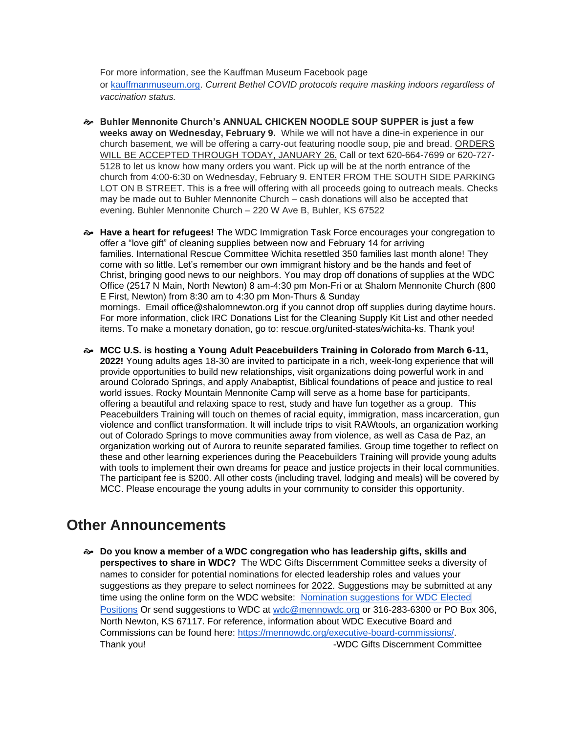For more information, see the Kauffman Museum Facebook page or [kauffmanmuseum.org.](http://kauffmanmuseum.org/) *Current Bethel COVID protocols require masking indoors regardless of vaccination status.*

- **Buhler Mennonite Church's ANNUAL CHICKEN NOODLE SOUP SUPPER is just a few weeks away on Wednesday, February 9.** While we will not have a dine-in experience in our church basement, we will be offering a carry-out featuring noodle soup, pie and bread. ORDERS WILL BE ACCEPTED THROUGH TODAY, JANUARY 26. Call or text 620-664-7699 or 620-727- 5128 to let us know how many orders you want. Pick up will be at the north entrance of the church from 4:00-6:30 on Wednesday, February 9. ENTER FROM THE SOUTH SIDE PARKING LOT ON B STREET. This is a free will offering with all proceeds going to outreach meals. Checks may be made out to Buhler Mennonite Church – cash donations will also be accepted that evening. Buhler Mennonite Church – 220 W Ave B, Buhler, KS 67522
- **Have a heart for refugees!** The WDC Immigration Task Force encourages your congregation to offer a "love gift" of cleaning supplies between now and February 14 for arriving families. International Rescue Committee Wichita resettled 350 families last month alone! They come with so little. Let's remember our own immigrant history and be the hands and feet of Christ, bringing good news to our neighbors. You may drop off donations of supplies at the WDC Office (2517 N Main, North Newton) 8 am-4:30 pm Mon-Fri or at Shalom Mennonite Church (800 E First, Newton) from 8:30 am to 4:30 pm Mon-Thurs & Sunday mornings. Email office@shalomnewton.org if you cannot drop off supplies during daytime hours. For more information, click IRC Donations List for the Cleaning Supply Kit List and other needed items. To make a monetary donation, go to: rescue.org/united-states/wichita-ks. Thank you!
- **MCC U.S. is hosting a Young Adult Peacebuilders Training in Colorado from March 6-11, 2022!** Young adults ages 18-30 are invited to participate in a rich, week-long experience that will provide opportunities to build new relationships, visit organizations doing powerful work in and around Colorado Springs, and apply Anabaptist, Biblical foundations of peace and justice to real world issues. Rocky Mountain Mennonite Camp will serve as a home base for participants, offering a beautiful and relaxing space to rest, study and have fun together as a group. This Peacebuilders Training will touch on themes of racial equity, immigration, mass incarceration, gun violence and conflict transformation. It will include trips to visit RAWtools, an organization working out of Colorado Springs to move communities away from violence, as well as Casa de Paz, an organization working out of Aurora to reunite separated families. Group time together to reflect on these and other learning experiences during the Peacebuilders Training will provide young adults with tools to implement their own dreams for peace and justice projects in their local communities. The participant fee is \$200. All other costs (including travel, lodging and meals) will be covered by MCC. Please encourage the young adults in your community to consider this opportunity.

#### **Other Announcements**

 **Do you know a member of a WDC congregation who has leadership gifts, skills and perspectives to share in WDC?** The WDC Gifts Discernment Committee seeks a diversity of names to consider for potential nominations for elected leadership roles and values your suggestions as they prepare to select nominees for 2022. Suggestions may be submitted at any time using the online form on the WDC website: Nomination [suggestions](https://forms.gle/1bqLS1wtswNtqQBe6) for WDC Elected [Positions](https://forms.gle/1bqLS1wtswNtqQBe6) Or send suggestions to WDC at [wdc@mennowdc.org](mailto:wdc@mennowdc.org) or 316-283-6300 or PO Box 306, North Newton, KS 67117. For reference, information about WDC Executive Board and Commissions can be found here: [https://mennowdc.org/executive-board-commissions/.](https://mennowdc.org/executive-board-commissions/) Thank you! Thank you! Thank you!